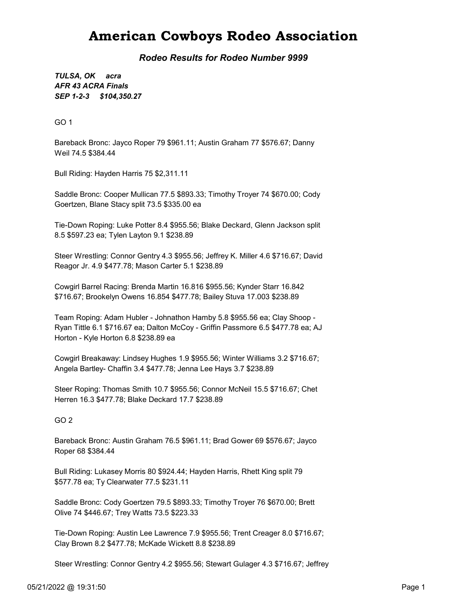## American Cowboys Rodeo Association

Rodeo Results for Rodeo Number 9999

SEP 1-2-3 \$104,350.27 TULSA, OK acra AFR 43 ACRA Finals

GO 1

Bareback Bronc: Jayco Roper 79 \$961.11; Austin Graham 77 \$576.67; Danny Weil 74.5 \$384.44

Bull Riding: Hayden Harris 75 \$2,311.11

Saddle Bronc: Cooper Mullican 77.5 \$893.33; Timothy Troyer 74 \$670.00; Cody Goertzen, Blane Stacy split 73.5 \$335.00 ea

Tie-Down Roping: Luke Potter 8.4 \$955.56; Blake Deckard, Glenn Jackson split 8.5 \$597.23 ea; Tylen Layton 9.1 \$238.89

Steer Wrestling: Connor Gentry 4.3 \$955.56; Jeffrey K. Miller 4.6 \$716.67; David Reagor Jr. 4.9 \$477.78; Mason Carter 5.1 \$238.89

Cowgirl Barrel Racing: Brenda Martin 16.816 \$955.56; Kynder Starr 16.842 \$716.67; Brookelyn Owens 16.854 \$477.78; Bailey Stuva 17.003 \$238.89

Team Roping: Adam Hubler - Johnathon Hamby 5.8 \$955.56 ea; Clay Shoop - Ryan Tittle 6.1 \$716.67 ea; Dalton McCoy - Griffin Passmore 6.5 \$477.78 ea; AJ Horton - Kyle Horton 6.8 \$238.89 ea

Cowgirl Breakaway: Lindsey Hughes 1.9 \$955.56; Winter Williams 3.2 \$716.67; Angela Bartley- Chaffin 3.4 \$477.78; Jenna Lee Hays 3.7 \$238.89

Steer Roping: Thomas Smith 10.7 \$955.56; Connor McNeil 15.5 \$716.67; Chet Herren 16.3 \$477.78; Blake Deckard 17.7 \$238.89

GO 2

Bareback Bronc: Austin Graham 76.5 \$961.11; Brad Gower 69 \$576.67; Jayco Roper 68 \$384.44

Bull Riding: Lukasey Morris 80 \$924.44; Hayden Harris, Rhett King split 79 \$577.78 ea; Ty Clearwater 77.5 \$231.11

Saddle Bronc: Cody Goertzen 79.5 \$893.33; Timothy Troyer 76 \$670.00; Brett Olive 74 \$446.67; Trey Watts 73.5 \$223.33

Tie-Down Roping: Austin Lee Lawrence 7.9 \$955.56; Trent Creager 8.0 \$716.67; Clay Brown 8.2 \$477.78; McKade Wickett 8.8 \$238.89

Steer Wrestling: Connor Gentry 4.2 \$955.56; Stewart Gulager 4.3 \$716.67; Jeffrey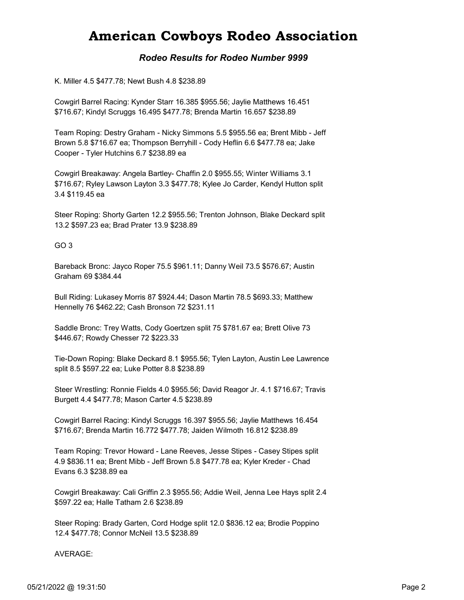## American Cowboys Rodeo Association

### Rodeo Results for Rodeo Number 9999

K. Miller 4.5 \$477.78; Newt Bush 4.8 \$238.89

Cowgirl Barrel Racing: Kynder Starr 16.385 \$955.56; Jaylie Matthews 16.451 \$716.67; Kindyl Scruggs 16.495 \$477.78; Brenda Martin 16.657 \$238.89

Team Roping: Destry Graham - Nicky Simmons 5.5 \$955.56 ea; Brent Mibb - Jeff Brown 5.8 \$716.67 ea; Thompson Berryhill - Cody Heflin 6.6 \$477.78 ea; Jake Cooper - Tyler Hutchins 6.7 \$238.89 ea

Cowgirl Breakaway: Angela Bartley- Chaffin 2.0 \$955.55; Winter Williams 3.1 \$716.67; Ryley Lawson Layton 3.3 \$477.78; Kylee Jo Carder, Kendyl Hutton split 3.4 \$119.45 ea

Steer Roping: Shorty Garten 12.2 \$955.56; Trenton Johnson, Blake Deckard split 13.2 \$597.23 ea; Brad Prater 13.9 \$238.89

#### GO 3

Bareback Bronc: Jayco Roper 75.5 \$961.11; Danny Weil 73.5 \$576.67; Austin Graham 69 \$384.44

Bull Riding: Lukasey Morris 87 \$924.44; Dason Martin 78.5 \$693.33; Matthew Hennelly 76 \$462.22; Cash Bronson 72 \$231.11

Saddle Bronc: Trey Watts, Cody Goertzen split 75 \$781.67 ea; Brett Olive 73 \$446.67; Rowdy Chesser 72 \$223.33

Tie-Down Roping: Blake Deckard 8.1 \$955.56; Tylen Layton, Austin Lee Lawrence split 8.5 \$597.22 ea; Luke Potter 8.8 \$238.89

Steer Wrestling: Ronnie Fields 4.0 \$955.56; David Reagor Jr. 4.1 \$716.67; Travis Burgett 4.4 \$477.78; Mason Carter 4.5 \$238.89

Cowgirl Barrel Racing: Kindyl Scruggs 16.397 \$955.56; Jaylie Matthews 16.454 \$716.67; Brenda Martin 16.772 \$477.78; Jaiden Wilmoth 16.812 \$238.89

Team Roping: Trevor Howard - Lane Reeves, Jesse Stipes - Casey Stipes split 4.9 \$836.11 ea; Brent Mibb - Jeff Brown 5.8 \$477.78 ea; Kyler Kreder - Chad Evans 6.3 \$238.89 ea

Cowgirl Breakaway: Cali Griffin 2.3 \$955.56; Addie Weil, Jenna Lee Hays split 2.4 \$597.22 ea; Halle Tatham 2.6 \$238.89

Steer Roping: Brady Garten, Cord Hodge split 12.0 \$836.12 ea; Brodie Poppino 12.4 \$477.78; Connor McNeil 13.5 \$238.89

#### AVERAGE: